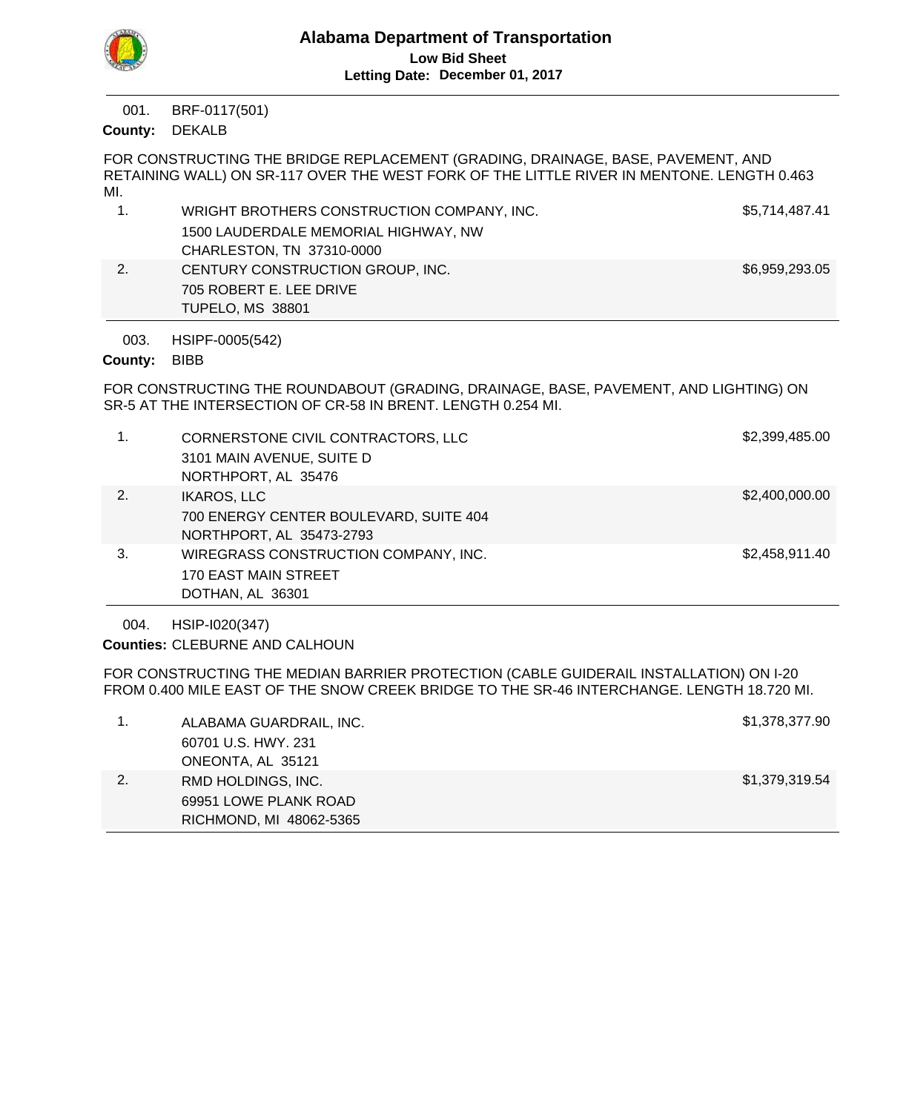

BRF-0117(501) 001.

County: DEKALB

FOR CONSTRUCTING THE BRIDGE REPLACEMENT (GRADING, DRAINAGE, BASE, PAVEMENT, AND RETAINING WALL) ON SR-117 OVER THE WEST FORK OF THE LITTLE RIVER IN MENTONE. LENGTH 0.463 MI.

|    | WRIGHT BROTHERS CONSTRUCTION COMPANY, INC. | \$5,714,487.41 |
|----|--------------------------------------------|----------------|
|    | 1500 LAUDERDALE MEMORIAL HIGHWAY, NW       |                |
|    | CHARLESTON, TN 37310-0000                  |                |
| 2. | CENTURY CONSTRUCTION GROUP, INC.           | \$6,959,293.05 |
|    | 705 ROBERT E. LEE DRIVE                    |                |
|    | <b>TUPELO, MS 38801</b>                    |                |

HSIPF-0005(542) 003.

# County: BIBB

FOR CONSTRUCTING THE ROUNDABOUT (GRADING, DRAINAGE, BASE, PAVEMENT, AND LIGHTING) ON SR-5 AT THE INTERSECTION OF CR-58 IN BRENT. LENGTH 0.254 MI.

| 1. | CORNERSTONE CIVIL CONTRACTORS, LLC<br>3101 MAIN AVENUE, SUITE D<br>NORTHPORT, AL 35476   | \$2,399,485.00 |
|----|------------------------------------------------------------------------------------------|----------------|
| 2. | <b>IKAROS, LLC</b><br>700 ENERGY CENTER BOULEVARD, SUITE 404<br>NORTHPORT, AL 35473-2793 | \$2,400,000.00 |
| 3. | WIREGRASS CONSTRUCTION COMPANY, INC.<br>170 EAST MAIN STREET<br>DOTHAN, AL 36301         | \$2,458,911.40 |

HSIP-I020(347) 004.

Counties: CLEBURNE AND CALHOUN

FOR CONSTRUCTING THE MEDIAN BARRIER PROTECTION (CABLE GUIDERAIL INSTALLATION) ON I-20 FROM 0.400 MILE EAST OF THE SNOW CREEK BRIDGE TO THE SR-46 INTERCHANGE. LENGTH 18.720 MI.

|    | ALABAMA GUARDRAIL, INC. | \$1,378,377.90 |
|----|-------------------------|----------------|
|    | 60701 U.S. HWY, 231     |                |
|    | ONEONTA, AL 35121       |                |
| 2. | RMD HOLDINGS, INC.      | \$1,379,319.54 |
|    | 69951 LOWE PLANK ROAD   |                |
|    | RICHMOND, MI 48062-5365 |                |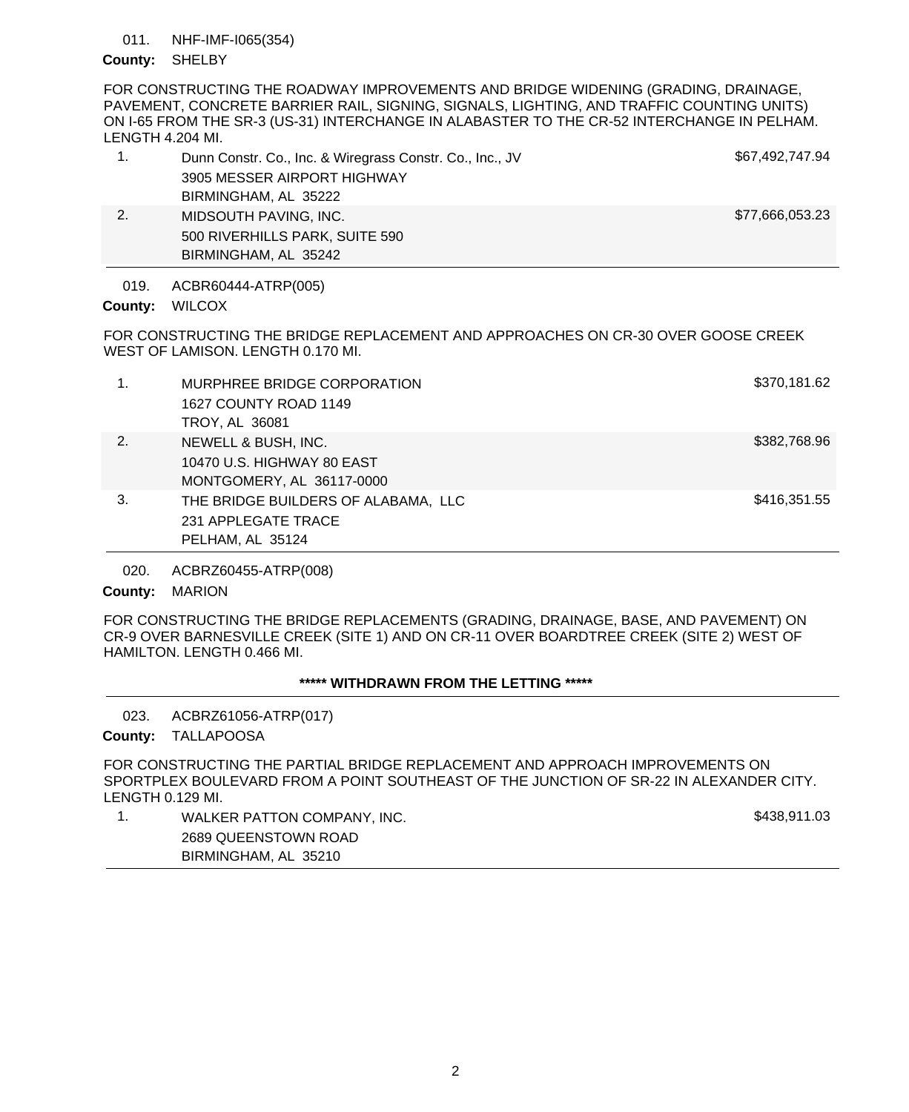#### NHF-IMF-I065(354) 011.

## County: SHELBY

FOR CONSTRUCTING THE ROADWAY IMPROVEMENTS AND BRIDGE WIDENING (GRADING, DRAINAGE, PAVEMENT, CONCRETE BARRIER RAIL, SIGNING, SIGNALS, LIGHTING, AND TRAFFIC COUNTING UNITS) ON I-65 FROM THE SR-3 (US-31) INTERCHANGE IN ALABASTER TO THE CR-52 INTERCHANGE IN PELHAM. LENGTH 4.204 MI.

| Dunn Constr. Co., Inc. & Wiregrass Constr. Co., Inc., JV | \$67,492,747.94 |
|----------------------------------------------------------|-----------------|
| 3905 MESSER AIRPORT HIGHWAY                              |                 |
| BIRMINGHAM, AL 35222                                     |                 |
| MIDSOUTH PAVING, INC.                                    | \$77,666,053.23 |

ACBR60444-ATRP(005) 019.

500 RIVERHILLS PARK, SUITE 590

BIRMINGHAM, AL 35242

County: WILCOX

FOR CONSTRUCTING THE BRIDGE REPLACEMENT AND APPROACHES ON CR-30 OVER GOOSE CREEK WEST OF LAMISON. LENGTH 0.170 MI.

| $\mathbf{1}$ . | MURPHREE BRIDGE CORPORATION<br>1627 COUNTY ROAD 1149<br><b>TROY, AL 36081</b>  | \$370,181.62 |
|----------------|--------------------------------------------------------------------------------|--------------|
| 2.             | NEWELL & BUSH, INC.<br>10470 U.S. HIGHWAY 80 EAST<br>MONTGOMERY, AL 36117-0000 | \$382,768.96 |
| 3.             | THE BRIDGE BUILDERS OF ALABAMA, LLC<br>231 APPLEGATE TRACE<br>PELHAM, AL 35124 | \$416,351.55 |

ACBRZ60455-ATRP(008) 020.

County: MARION

FOR CONSTRUCTING THE BRIDGE REPLACEMENTS (GRADING, DRAINAGE, BASE, AND PAVEMENT) ON CR-9 OVER BARNESVILLE CREEK (SITE 1) AND ON CR-11 OVER BOARDTREE CREEK (SITE 2) WEST OF HAMILTON. LENGTH 0.466 MI.

# **\*\*\*\*\* WITHDRAWN FROM THE LETTING \*\*\*\*\***

ACBRZ61056-ATRP(017) 023.

County: TALLAPOOSA

FOR CONSTRUCTING THE PARTIAL BRIDGE REPLACEMENT AND APPROACH IMPROVEMENTS ON SPORTPLEX BOULEVARD FROM A POINT SOUTHEAST OF THE JUNCTION OF SR-22 IN ALEXANDER CITY. LENGTH 0.129 MI.

1. WALKER PATTON COMPANY, INC. THE SECOND OF STRAINING SASS, 911.03 2689 QUEENSTOWN ROAD BIRMINGHAM, AL 35210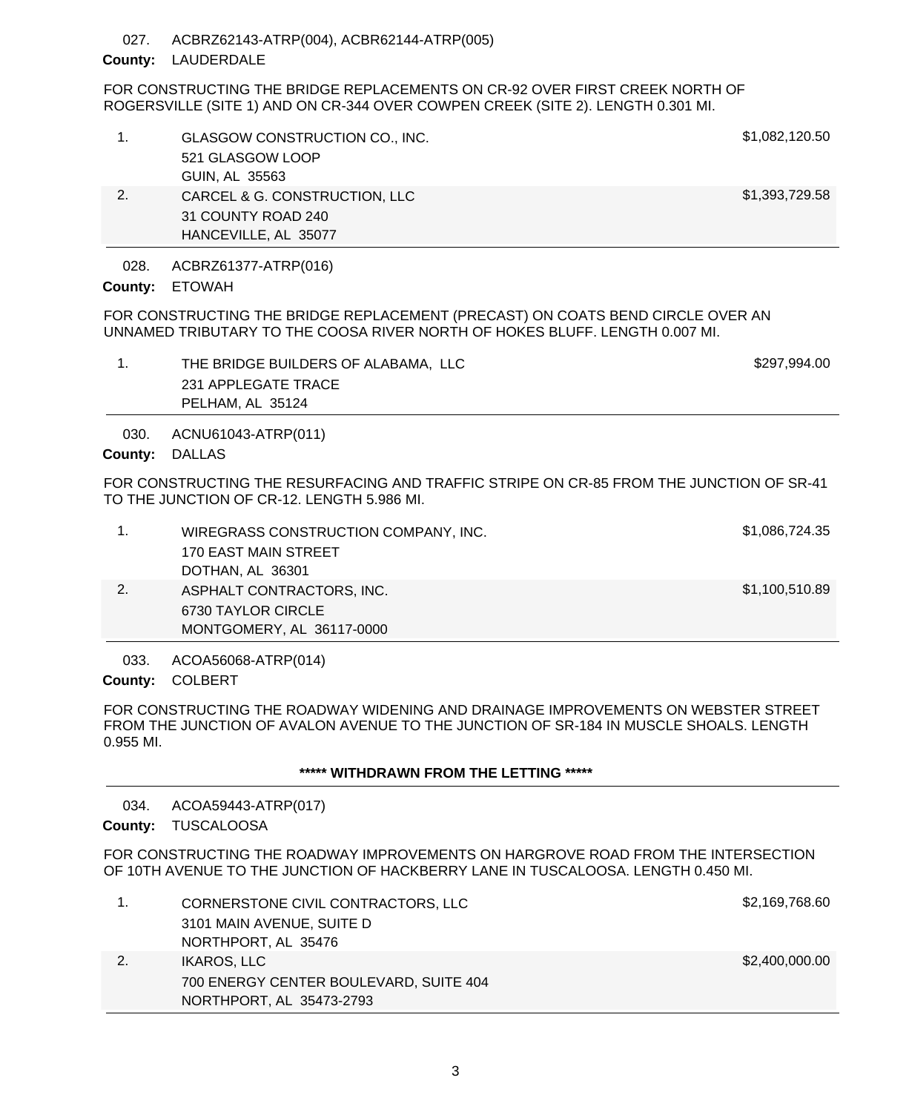ACBRZ62143-ATRP(004), ACBR62144-ATRP(005) 027.

# County: LAUDERDALE

FOR CONSTRUCTING THE BRIDGE REPLACEMENTS ON CR-92 OVER FIRST CREEK NORTH OF ROGERSVILLE (SITE 1) AND ON CR-344 OVER COWPEN CREEK (SITE 2). LENGTH 0.301 MI.

|    | GLASGOW CONSTRUCTION CO., INC.<br>521 GLASGOW LOOP<br>GUIN, AL 35563        | \$1,082,120.50 |
|----|-----------------------------------------------------------------------------|----------------|
| 2. | CARCEL & G. CONSTRUCTION, LLC<br>31 COUNTY ROAD 240<br>HANCEVILLE, AL 35077 | \$1,393,729.58 |

ACBRZ61377-ATRP(016) 028.

County: ETOWAH

FOR CONSTRUCTING THE BRIDGE REPLACEMENT (PRECAST) ON COATS BEND CIRCLE OVER AN UNNAMED TRIBUTARY TO THE COOSA RIVER NORTH OF HOKES BLUFF. LENGTH 0.007 MI.

1. THE BRIDGE BUILDERS OF ALABAMA, LLC \$297,994.00 231 APPLEGATE TRACE PELHAM, AL 35124

ACNU61043-ATRP(011) 030.

County: DALLAS

FOR CONSTRUCTING THE RESURFACING AND TRAFFIC STRIPE ON CR-85 FROM THE JUNCTION OF SR-41 TO THE JUNCTION OF CR-12. LENGTH 5.986 MI.

|    | WIREGRASS CONSTRUCTION COMPANY, INC. | \$1,086,724.35 |
|----|--------------------------------------|----------------|
|    | 170 EAST MAIN STREET                 |                |
|    | DOTHAN, AL 36301                     |                |
| 2. | ASPHALT CONTRACTORS, INC.            | \$1,100,510.89 |
|    | 6730 TAYLOR CIRCLE                   |                |
|    | MONTGOMERY, AL 36117-0000            |                |

ACOA56068-ATRP(014) 033.

COLBERT **County:**

FOR CONSTRUCTING THE ROADWAY WIDENING AND DRAINAGE IMPROVEMENTS ON WEBSTER STREET FROM THE JUNCTION OF AVALON AVENUE TO THE JUNCTION OF SR-184 IN MUSCLE SHOALS. LENGTH 0.955 MI.

**\*\*\*\*\* WITHDRAWN FROM THE LETTING \*\*\*\*\***

ACOA59443-ATRP(017) 034.

County: TUSCALOOSA

FOR CONSTRUCTING THE ROADWAY IMPROVEMENTS ON HARGROVE ROAD FROM THE INTERSECTION OF 10TH AVENUE TO THE JUNCTION OF HACKBERRY LANE IN TUSCALOOSA. LENGTH 0.450 MI.

|    | CORNERSTONE CIVIL CONTRACTORS, LLC     | \$2,169,768.60 |
|----|----------------------------------------|----------------|
|    | 3101 MAIN AVENUE, SUITE D              |                |
|    | NORTHPORT, AL 35476                    |                |
| 2. | IKAROS. LLC                            | \$2,400,000.00 |
|    | 700 ENERGY CENTER BOULEVARD, SUITE 404 |                |
|    | NORTHPORT, AL 35473-2793               |                |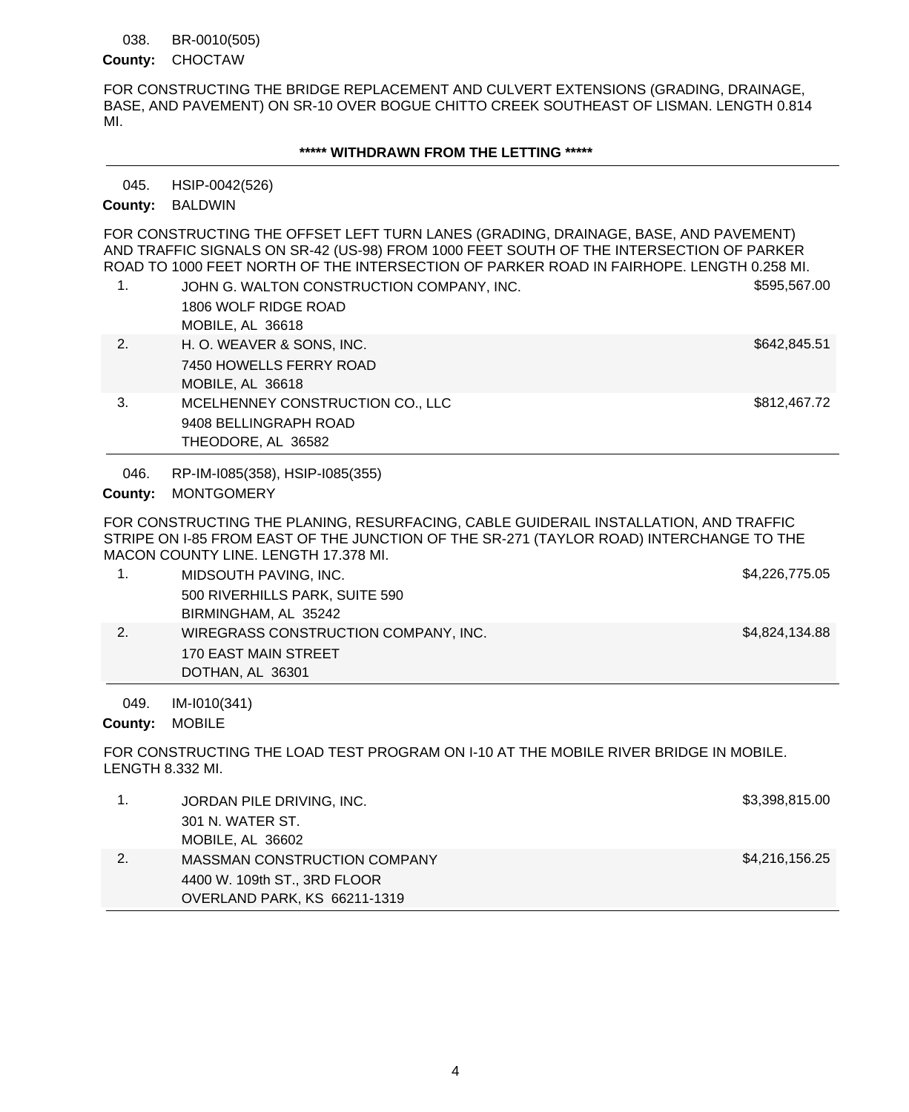#### BR-0010(505) 038.

# County: CHOCTAW

FOR CONSTRUCTING THE BRIDGE REPLACEMENT AND CULVERT EXTENSIONS (GRADING, DRAINAGE, BASE, AND PAVEMENT) ON SR-10 OVER BOGUE CHITTO CREEK SOUTHEAST OF LISMAN. LENGTH 0.814 MI.

### **\*\*\*\*\* WITHDRAWN FROM THE LETTING \*\*\*\*\***

HSIP-0042(526) 045.

# County: BALDWIN

FOR CONSTRUCTING THE OFFSET LEFT TURN LANES (GRADING, DRAINAGE, BASE, AND PAVEMENT) AND TRAFFIC SIGNALS ON SR-42 (US-98) FROM 1000 FEET SOUTH OF THE INTERSECTION OF PARKER ROAD TO 1000 FEET NORTH OF THE INTERSECTION OF PARKER ROAD IN FAIRHOPE. LENGTH 0.258 MI.

| 1. | JOHN G. WALTON CONSTRUCTION COMPANY, INC. | \$595,567.00 |
|----|-------------------------------------------|--------------|
|    | 1806 WOLF RIDGE ROAD                      |              |
|    | MOBILE, AL 36618                          |              |
| 2. | H. O. WEAVER & SONS, INC.                 | \$642,845.51 |
|    | 7450 HOWELLS FERRY ROAD                   |              |
|    | MOBILE, AL 36618                          |              |
| 3. | MCELHENNEY CONSTRUCTION CO., LLC          | \$812,467.72 |
|    | 9408 BELLINGRAPH ROAD                     |              |
|    | THEODORE, AL 36582                        |              |

RP-IM-I085(358), HSIP-I085(355) 046.

County: MONTGOMERY

FOR CONSTRUCTING THE PLANING, RESURFACING, CABLE GUIDERAIL INSTALLATION, AND TRAFFIC STRIPE ON I-85 FROM EAST OF THE JUNCTION OF THE SR-271 (TAYLOR ROAD) INTERCHANGE TO THE MACON COUNTY LINE. LENGTH 17.378 MI.

|    | MIDSOUTH PAVING, INC.                | \$4,226,775.05 |
|----|--------------------------------------|----------------|
|    | 500 RIVERHILLS PARK, SUITE 590       |                |
|    | BIRMINGHAM, AL 35242                 |                |
| 2. | WIREGRASS CONSTRUCTION COMPANY, INC. | \$4,824,134.88 |
|    | 170 EAST MAIN STREET                 |                |
|    | DOTHAN, AL 36301                     |                |

IM-I010(341) 049.

County: MOBILE

FOR CONSTRUCTING THE LOAD TEST PROGRAM ON I-10 AT THE MOBILE RIVER BRIDGE IN MOBILE. LENGTH 8.332 MI.

|    | JORDAN PILE DRIVING, INC.    | \$3,398,815.00 |
|----|------------------------------|----------------|
|    | 301 N. WATER ST.             |                |
|    | MOBILE, AL 36602             |                |
| 2. | MASSMAN CONSTRUCTION COMPANY | \$4,216,156.25 |
|    | 4400 W. 109th ST., 3RD FLOOR |                |
|    | OVERLAND PARK, KS 66211-1319 |                |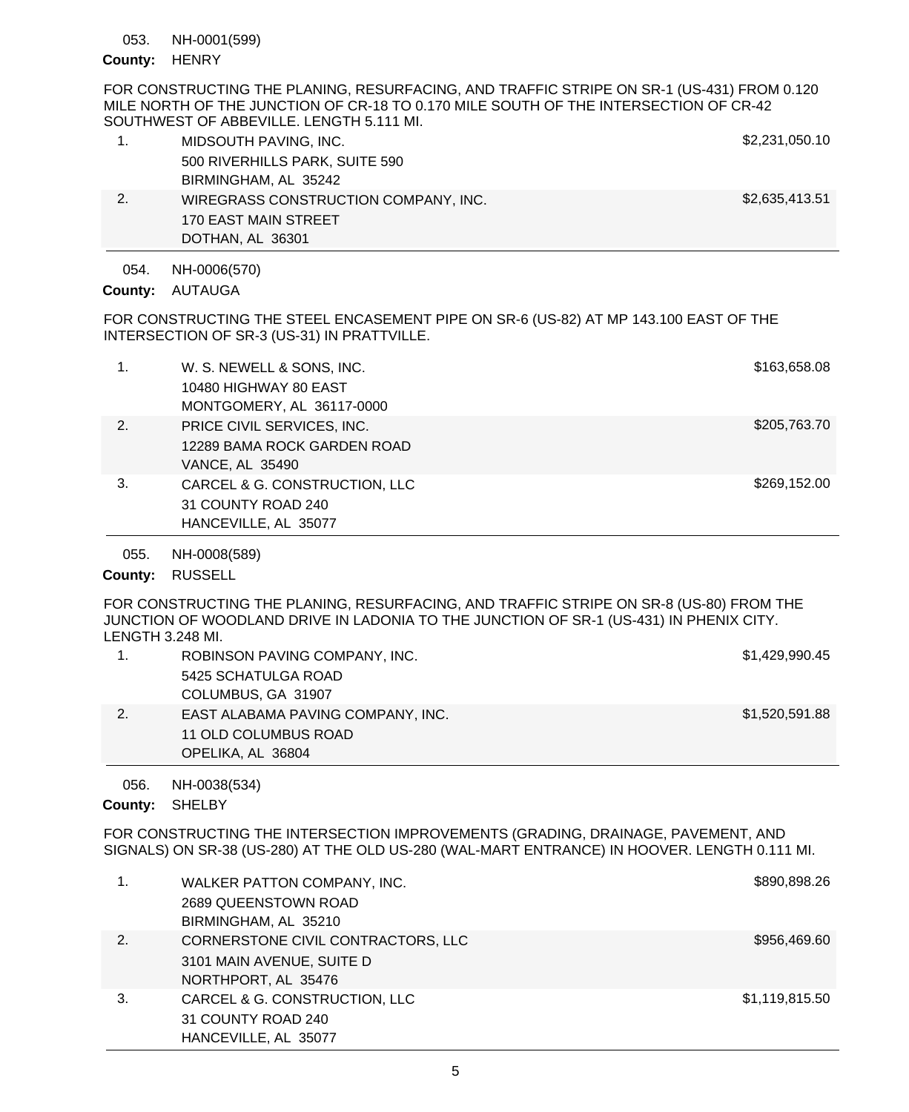#### NH-0001(599) 053.

# County: HENRY

FOR CONSTRUCTING THE PLANING, RESURFACING, AND TRAFFIC STRIPE ON SR-1 (US-431) FROM 0.120 MILE NORTH OF THE JUNCTION OF CR-18 TO 0.170 MILE SOUTH OF THE INTERSECTION OF CR-42 SOUTHWEST OF ABBEVILLE. LENGTH 5.111 MI.

|    | MIDSOUTH PAVING, INC.                | \$2,231,050.10 |
|----|--------------------------------------|----------------|
|    | 500 RIVERHILLS PARK, SUITE 590       |                |
|    | BIRMINGHAM, AL 35242                 |                |
| 2. | WIREGRASS CONSTRUCTION COMPANY, INC. | \$2,635,413.51 |
|    | 170 EAST MAIN STREET                 |                |
|    | DOTHAN, AL 36301                     |                |

NH-0006(570) 054.

County: AUTAUGA

FOR CONSTRUCTING THE STEEL ENCASEMENT PIPE ON SR-6 (US-82) AT MP 143.100 EAST OF THE INTERSECTION OF SR-3 (US-31) IN PRATTVILLE.

| 1. | W. S. NEWELL & SONS, INC.<br>10480 HIGHWAY 80 EAST<br>MONTGOMERY, AL 36117-0000     | \$163,658.08 |
|----|-------------------------------------------------------------------------------------|--------------|
| 2. | PRICE CIVIL SERVICES, INC.<br>12289 BAMA ROCK GARDEN ROAD<br><b>VANCE, AL 35490</b> | \$205,763.70 |
| 3. | CARCEL & G. CONSTRUCTION, LLC<br>31 COUNTY ROAD 240<br>HANCEVILLE, AL 35077         | \$269,152.00 |

NH-0008(589) 055.

County: RUSSELL

FOR CONSTRUCTING THE PLANING, RESURFACING, AND TRAFFIC STRIPE ON SR-8 (US-80) FROM THE JUNCTION OF WOODLAND DRIVE IN LADONIA TO THE JUNCTION OF SR-1 (US-431) IN PHENIX CITY. LENGTH 3.248 MI.

|    | ROBINSON PAVING COMPANY, INC.     | \$1,429,990.45 |
|----|-----------------------------------|----------------|
|    | 5425 SCHATULGA ROAD               |                |
|    | COLUMBUS, GA 31907                |                |
| 2. | EAST ALABAMA PAVING COMPANY, INC. | \$1,520,591.88 |
|    | 11 OLD COLUMBUS ROAD              |                |
|    | OPELIKA, AL 36804                 |                |

NH-0038(534) 056.

County: SHELBY

FOR CONSTRUCTING THE INTERSECTION IMPROVEMENTS (GRADING, DRAINAGE, PAVEMENT, AND SIGNALS) ON SR-38 (US-280) AT THE OLD US-280 (WAL-MART ENTRANCE) IN HOOVER. LENGTH 0.111 MI.

| 1. | WALKER PATTON COMPANY, INC.<br>2689 QUEENSTOWN ROAD<br>BIRMINGHAM, AL 35210            | \$890,898.26   |
|----|----------------------------------------------------------------------------------------|----------------|
| 2. | CORNERSTONE CIVIL CONTRACTORS, LLC<br>3101 MAIN AVENUE, SUITE D<br>NORTHPORT, AL 35476 | \$956,469.60   |
| 3. | CARCEL & G. CONSTRUCTION, LLC<br>31 COUNTY ROAD 240<br>HANCEVILLE, AL 35077            | \$1,119,815.50 |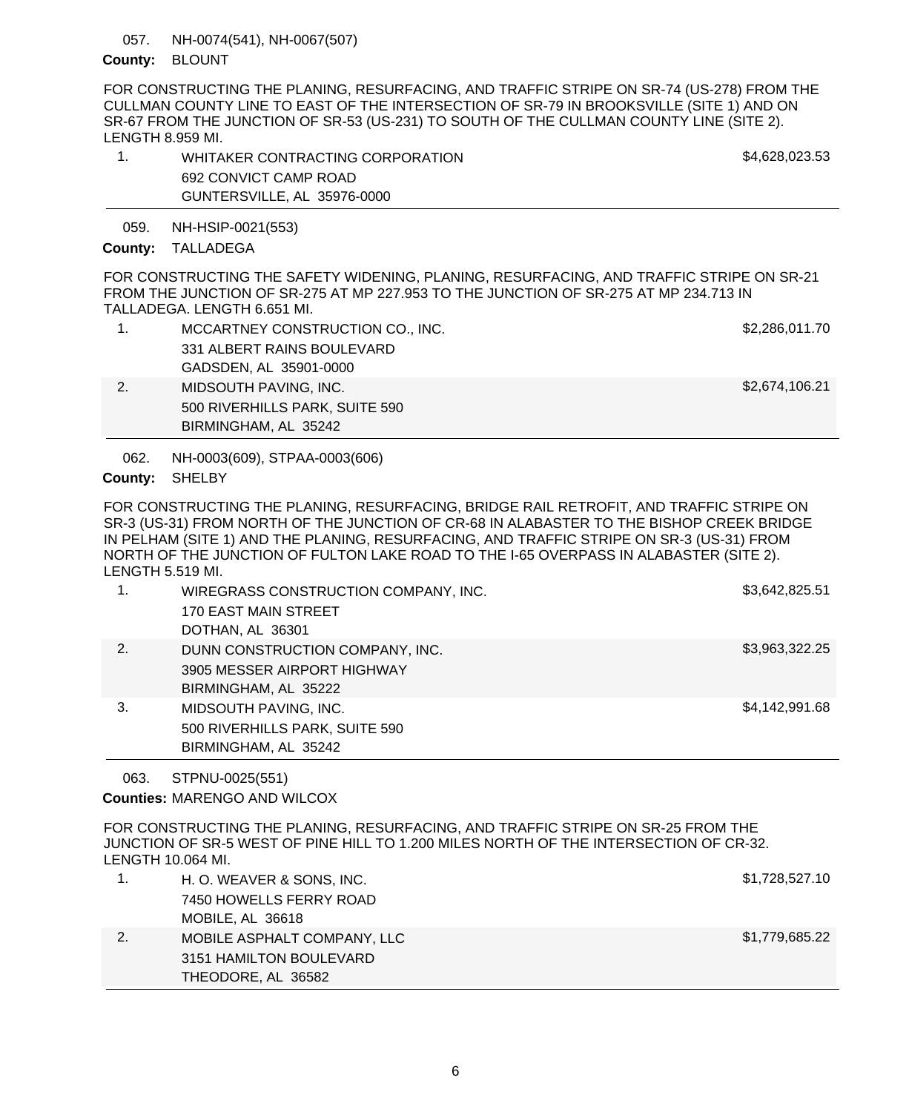#### NH-0074(541), NH-0067(507) 057.

## County: BLOUNT

FOR CONSTRUCTING THE PLANING, RESURFACING, AND TRAFFIC STRIPE ON SR-74 (US-278) FROM THE CULLMAN COUNTY LINE TO EAST OF THE INTERSECTION OF SR-79 IN BROOKSVILLE (SITE 1) AND ON SR-67 FROM THE JUNCTION OF SR-53 (US-231) TO SOUTH OF THE CULLMAN COUNTY LINE (SITE 2). LENGTH 8.959 MI.

1. WHITAKER CONTRACTING CORPORATION 61. [1] THE STATE STATE STATES AND STATES AND STATES AND STATES AND STATES STATES AND STATES AND STATES AND STATES AND STATES AND STATES AND STATES AND STATES AND STATES AND STATES AND S 692 CONVICT CAMP ROAD GUNTERSVILLE, AL 35976-0000

NH-HSIP-0021(553) 059.

# County: TALLADEGA

FOR CONSTRUCTING THE SAFETY WIDENING, PLANING, RESURFACING, AND TRAFFIC STRIPE ON SR-21 FROM THE JUNCTION OF SR-275 AT MP 227.953 TO THE JUNCTION OF SR-275 AT MP 234.713 IN TALLADEGA. LENGTH 6.651 MI.

|    | MCCARTNEY CONSTRUCTION CO., INC. | \$2,286,011.70 |
|----|----------------------------------|----------------|
|    | 331 ALBERT RAINS BOULEVARD       |                |
|    | GADSDEN, AL 35901-0000           |                |
| 2. | MIDSOUTH PAVING, INC.            | \$2,674,106.21 |
|    | 500 RIVERHILLS PARK, SUITE 590   |                |
|    | BIRMINGHAM, AL 35242             |                |
|    |                                  |                |

NH-0003(609), STPAA-0003(606) 062.

# County: SHELBY

FOR CONSTRUCTING THE PLANING, RESURFACING, BRIDGE RAIL RETROFIT, AND TRAFFIC STRIPE ON SR-3 (US-31) FROM NORTH OF THE JUNCTION OF CR-68 IN ALABASTER TO THE BISHOP CREEK BRIDGE IN PELHAM (SITE 1) AND THE PLANING, RESURFACING, AND TRAFFIC STRIPE ON SR-3 (US-31) FROM NORTH OF THE JUNCTION OF FULTON LAKE ROAD TO THE I-65 OVERPASS IN ALABASTER (SITE 2). LENGTH 5.519 MI.

| 1. | WIREGRASS CONSTRUCTION COMPANY, INC.<br>170 EAST MAIN STREET<br>DOTHAN, AL 36301       | \$3,642,825.51 |
|----|----------------------------------------------------------------------------------------|----------------|
| 2. | DUNN CONSTRUCTION COMPANY, INC.<br>3905 MESSER AIRPORT HIGHWAY<br>BIRMINGHAM, AL 35222 | \$3,963,322.25 |
| 3. | MIDSOUTH PAVING, INC.<br>500 RIVERHILLS PARK, SUITE 590<br>BIRMINGHAM, AL 35242        | \$4,142,991.68 |

STPNU-0025(551) 063.

**Counties: MARENGO AND WILCOX** 

FOR CONSTRUCTING THE PLANING, RESURFACING, AND TRAFFIC STRIPE ON SR-25 FROM THE JUNCTION OF SR-5 WEST OF PINE HILL TO 1.200 MILES NORTH OF THE INTERSECTION OF CR-32. LENGTH 10.064 MI.

| H. O. WEAVER & SONS, INC.   | \$1,728,527.10 |
|-----------------------------|----------------|
| 7450 HOWELLS FERRY ROAD     |                |
| MOBILE, AL 36618            |                |
| MOBILE ASPHALT COMPANY, LLC | \$1,779,685.22 |
| 3151 HAMILTON BOULEVARD     |                |
| THEODORE, AL 36582          |                |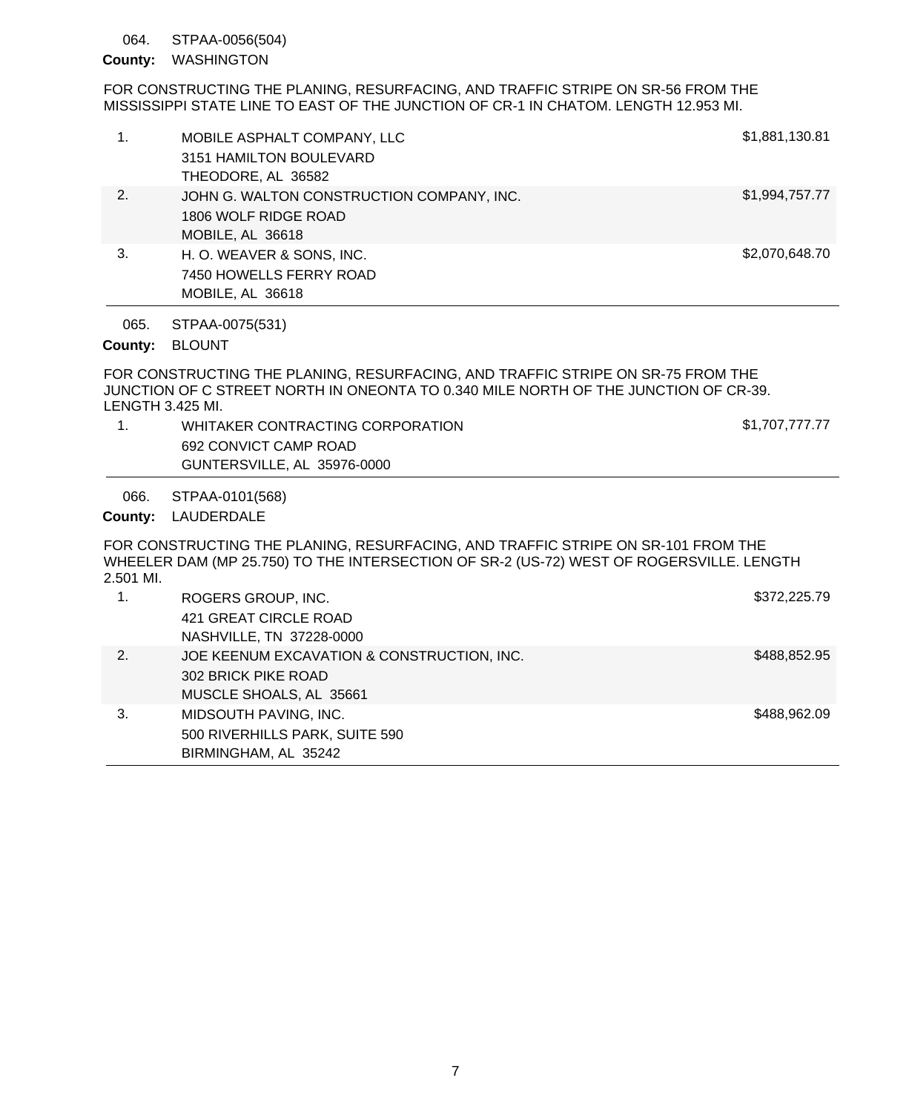#### STPAA-0056(504) 064.

## County: WASHINGTON

FOR CONSTRUCTING THE PLANING, RESURFACING, AND TRAFFIC STRIPE ON SR-56 FROM THE MISSISSIPPI STATE LINE TO EAST OF THE JUNCTION OF CR-1 IN CHATOM. LENGTH 12.953 MI.

| 1.   | MOBILE ASPHALT COMPANY, LLC<br>3151 HAMILTON BOULEVARD<br>THEODORE, AL 36582          | \$1,881,130.81 |
|------|---------------------------------------------------------------------------------------|----------------|
| 2.   | JOHN G. WALTON CONSTRUCTION COMPANY, INC.<br>1806 WOLF RIDGE ROAD<br>MOBILE, AL 36618 | \$1,994,757.77 |
| 3.   | H. O. WEAVER & SONS, INC.<br>7450 HOWELLS FERRY ROAD<br>MOBILE, AL 36618              | \$2,070,648.70 |
| 065. | STPAA-0075(531)                                                                       |                |

County: BLOUNT

FOR CONSTRUCTING THE PLANING, RESURFACING, AND TRAFFIC STRIPE ON SR-75 FROM THE JUNCTION OF C STREET NORTH IN ONEONTA TO 0.340 MILE NORTH OF THE JUNCTION OF CR-39. LENGTH 3.425 MI.

1. WHITAKER CONTRACTING CORPORATION \$1,707,777.77 692 CONVICT CAMP ROAD GUNTERSVILLE, AL 35976-0000

STPAA-0101(568) 066.

County: LAUDERDALE

FOR CONSTRUCTING THE PLANING, RESURFACING, AND TRAFFIC STRIPE ON SR-101 FROM THE WHEELER DAM (MP 25.750) TO THE INTERSECTION OF SR-2 (US-72) WEST OF ROGERSVILLE. LENGTH 2.501 MI.

| 1. | ROGERS GROUP, INC.                         | \$372,225.79 |
|----|--------------------------------------------|--------------|
|    | 421 GREAT CIRCLE ROAD                      |              |
|    | NASHVILLE, TN 37228-0000                   |              |
| 2. | JOE KEENUM EXCAVATION & CONSTRUCTION, INC. | \$488,852.95 |
|    | 302 BRICK PIKE ROAD                        |              |
|    | MUSCLE SHOALS, AL 35661                    |              |
| 3. | MIDSOUTH PAVING, INC.                      | \$488,962,09 |
|    | 500 RIVERHILLS PARK, SUITE 590             |              |
|    | BIRMINGHAM, AL 35242                       |              |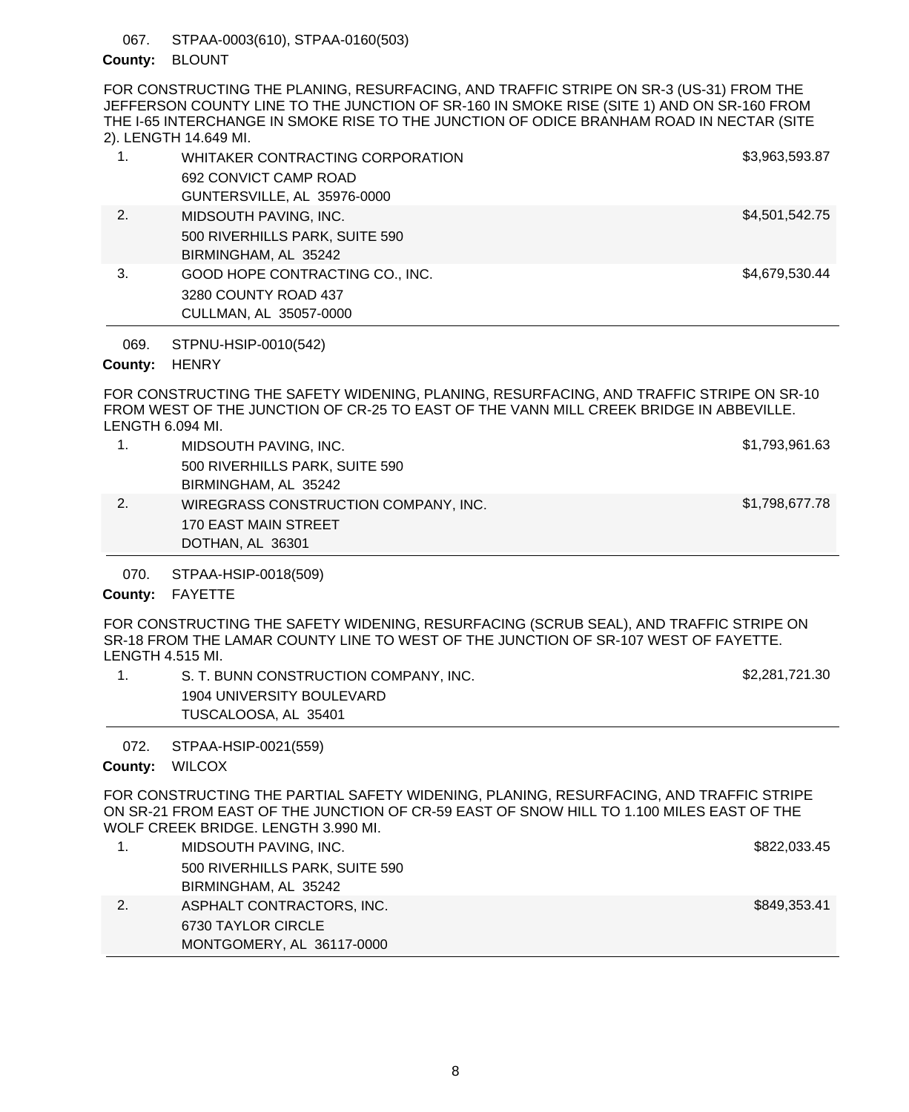STPAA-0003(610), STPAA-0160(503) 067.

# County: BLOUNT

FOR CONSTRUCTING THE PLANING, RESURFACING, AND TRAFFIC STRIPE ON SR-3 (US-31) FROM THE JEFFERSON COUNTY LINE TO THE JUNCTION OF SR-160 IN SMOKE RISE (SITE 1) AND ON SR-160 FROM THE I-65 INTERCHANGE IN SMOKE RISE TO THE JUNCTION OF ODICE BRANHAM ROAD IN NECTAR (SITE 2). LENGTH 14.649 MI.

|    | WHITAKER CONTRACTING CORPORATION | \$3,963,593.87 |
|----|----------------------------------|----------------|
|    | 692 CONVICT CAMP ROAD            |                |
|    | GUNTERSVILLE, AL 35976-0000      |                |
| 2. | MIDSOUTH PAVING, INC.            | \$4,501,542.75 |
|    | 500 RIVERHILLS PARK, SUITE 590   |                |
|    | BIRMINGHAM, AL 35242             |                |
| 3. | GOOD HOPE CONTRACTING CO., INC.  | \$4,679,530.44 |
|    | 3280 COUNTY ROAD 437             |                |
|    | CULLMAN, AL 35057-0000           |                |

STPNU-HSIP-0010(542) 069.

County: HENRY

FOR CONSTRUCTING THE SAFETY WIDENING, PLANING, RESURFACING, AND TRAFFIC STRIPE ON SR-10 FROM WEST OF THE JUNCTION OF CR-25 TO EAST OF THE VANN MILL CREEK BRIDGE IN ABBEVILLE. LENGTH 6.094 MI.

- 1. MIDSOUTH PAVING, INC. **\$1,793,961.63** 500 RIVERHILLS PARK, SUITE 590 BIRMINGHAM, AL 35242 2. WIREGRASS CONSTRUCTION COMPANY, INC. \$1,798,677.78 170 EAST MAIN STREET DOTHAN, AL 36301
	- STPAA-HSIP-0018(509) 070.

# County: FAYETTE

FOR CONSTRUCTING THE SAFETY WIDENING, RESURFACING (SCRUB SEAL), AND TRAFFIC STRIPE ON SR-18 FROM THE LAMAR COUNTY LINE TO WEST OF THE JUNCTION OF SR-107 WEST OF FAYETTE. LENGTH 4.515 MI.

1. S. T. BUNN CONSTRUCTION COMPANY, INC.  $$2,281,721.30$ 1904 UNIVERSITY BOULEVARD TUSCALOOSA, AL 35401

STPAA-HSIP-0021(559) 072.

# County: WILCOX

FOR CONSTRUCTING THE PARTIAL SAFETY WIDENING, PLANING, RESURFACING, AND TRAFFIC STRIPE ON SR-21 FROM EAST OF THE JUNCTION OF CR-59 EAST OF SNOW HILL TO 1.100 MILES EAST OF THE WOLF CREEK BRIDGE. LENGTH 3.990 MI.

|    | MIDSOUTH PAVING, INC.          | \$822,033.45 |
|----|--------------------------------|--------------|
|    | 500 RIVERHILLS PARK, SUITE 590 |              |
|    | BIRMINGHAM, AL 35242           |              |
| 2. | ASPHALT CONTRACTORS, INC.      | \$849,353.41 |
|    | 6730 TAYLOR CIRCLE             |              |
|    | MONTGOMERY, AL 36117-0000      |              |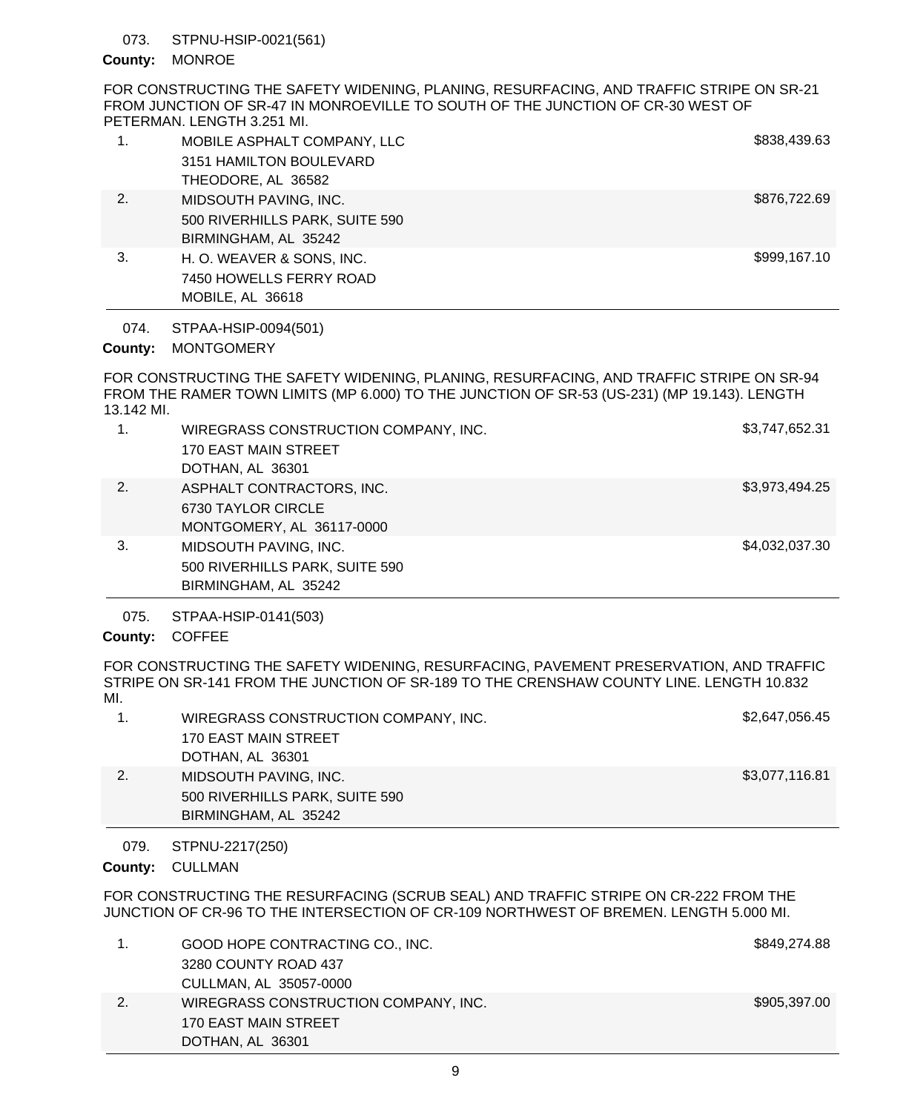#### STPNU-HSIP-0021(561) 073.

# County: MONROE

FOR CONSTRUCTING THE SAFETY WIDENING, PLANING, RESURFACING, AND TRAFFIC STRIPE ON SR-21 FROM JUNCTION OF SR-47 IN MONROEVILLE TO SOUTH OF THE JUNCTION OF CR-30 WEST OF PETERMAN. LENGTH 3.251 MI.

|    | MOBILE ASPHALT COMPANY, LLC    | \$838,439.63 |
|----|--------------------------------|--------------|
|    | 3151 HAMILTON BOULEVARD        |              |
|    | THEODORE, AL 36582             |              |
| 2. | MIDSOUTH PAVING, INC.          | \$876,722.69 |
|    | 500 RIVERHILLS PARK, SUITE 590 |              |
|    | BIRMINGHAM, AL 35242           |              |
| 3. | H. O. WEAVER & SONS, INC.      | \$999,167.10 |
|    | 7450 HOWELLS FERRY ROAD        |              |
|    | MOBILE, AL 36618               |              |

STPAA-HSIP-0094(501) 074.

# County: MONTGOMERY

FOR CONSTRUCTING THE SAFETY WIDENING, PLANING, RESURFACING, AND TRAFFIC STRIPE ON SR-94 FROM THE RAMER TOWN LIMITS (MP 6.000) TO THE JUNCTION OF SR-53 (US-231) (MP 19.143). LENGTH 13.142 MI.

| 1. | WIREGRASS CONSTRUCTION COMPANY, INC. | \$3,747,652.31 |
|----|--------------------------------------|----------------|
|    | 170 EAST MAIN STREET                 |                |
|    | DOTHAN, AL 36301                     |                |
| 2. | ASPHALT CONTRACTORS, INC.            | \$3,973,494.25 |
|    | 6730 TAYLOR CIRCLE                   |                |
|    | MONTGOMERY, AL 36117-0000            |                |
| 3. | MIDSOUTH PAVING, INC.                | \$4,032,037.30 |
|    | 500 RIVERHILLS PARK, SUITE 590       |                |
|    | BIRMINGHAM, AL 35242                 |                |

STPAA-HSIP-0141(503) 075.

# County: COFFEE

FOR CONSTRUCTING THE SAFETY WIDENING, RESURFACING, PAVEMENT PRESERVATION, AND TRAFFIC STRIPE ON SR-141 FROM THE JUNCTION OF SR-189 TO THE CRENSHAW COUNTY LINE. LENGTH 10.832 MI.

|    | WIREGRASS CONSTRUCTION COMPANY, INC. | \$2,647,056.45 |
|----|--------------------------------------|----------------|
|    | 170 EAST MAIN STREET                 |                |
|    | DOTHAN, AL 36301                     |                |
| 2. | MIDSOUTH PAVING, INC.                | \$3,077,116.81 |
|    | 500 RIVERHILLS PARK, SUITE 590       |                |
|    | BIRMINGHAM, AL 35242                 |                |

STPNU-2217(250) 079.

County: CULLMAN

FOR CONSTRUCTING THE RESURFACING (SCRUB SEAL) AND TRAFFIC STRIPE ON CR-222 FROM THE JUNCTION OF CR-96 TO THE INTERSECTION OF CR-109 NORTHWEST OF BREMEN. LENGTH 5.000 MI.

|    | GOOD HOPE CONTRACTING CO., INC.      | \$849,274.88 |
|----|--------------------------------------|--------------|
|    | 3280 COUNTY ROAD 437                 |              |
|    | CULLMAN, AL 35057-0000               |              |
| 2. | WIREGRASS CONSTRUCTION COMPANY, INC. | \$905,397.00 |
|    | 170 EAST MAIN STREET                 |              |
|    | DOTHAN, AL 36301                     |              |